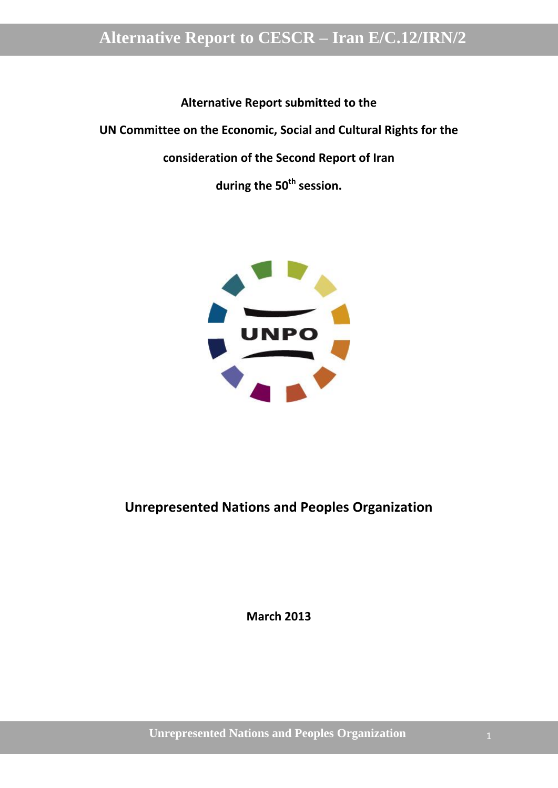**Alternative Report submitted to the**

**UN Committee on the Economic, Social and Cultural Rights for the** 

**consideration of the Second Report of Iran**

**during the 50th session.**



### **Unrepresented Nations and Peoples Organization**

**March 2013**

**Unrepresented Nations and Peoples Organization** 1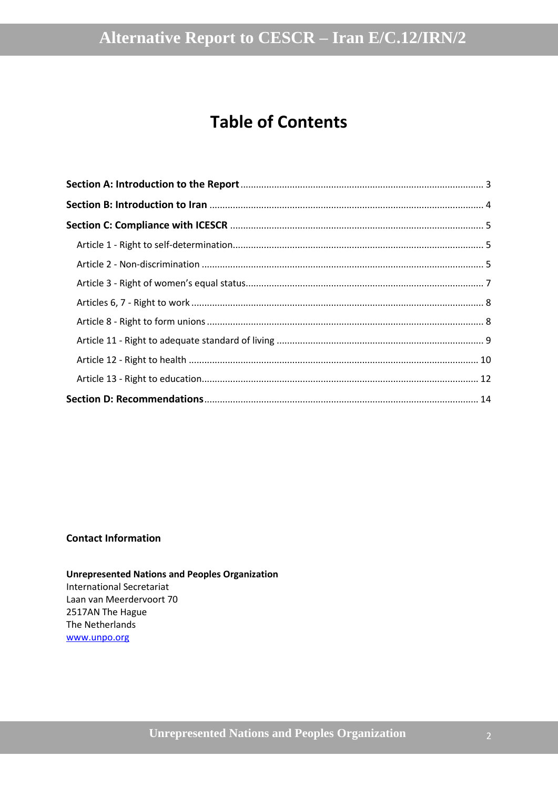## **Table of Contents**

#### **Contact Information**

**Unrepresented Nations and Peoples Organization** International Secretariat Laan van Meerdervoort 70 2517AN The Hague

The Netherlands [www.unpo.org](http://www.unpo.org/)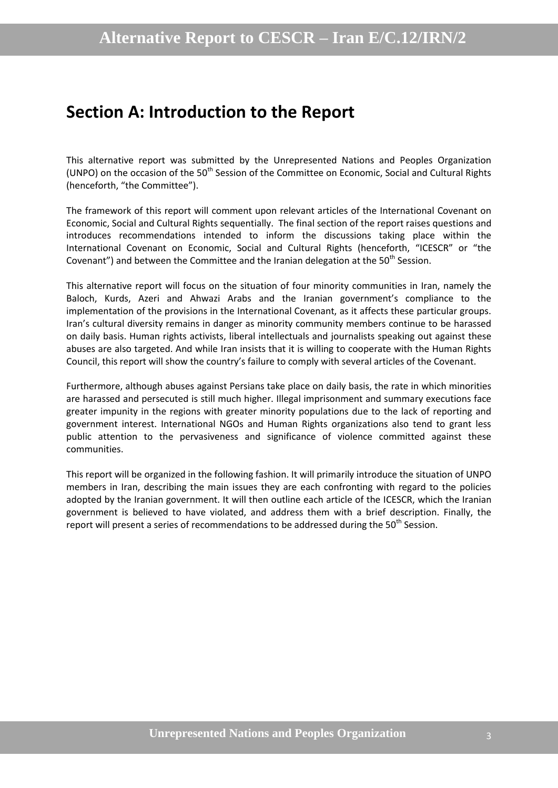## <span id="page-2-0"></span>**Section A: Introduction to the Report**

This alternative report was submitted by the Unrepresented Nations and Peoples Organization (UNPO) on the occasion of the 50<sup>th</sup> Session of the Committee on Economic, Social and Cultural Rights (henceforth, "the Committee").

The framework of this report will comment upon relevant articles of the International Covenant on Economic, Social and Cultural Rights sequentially. The final section of the report raises questions and introduces recommendations intended to inform the discussions taking place within the International Covenant on Economic, Social and Cultural Rights (henceforth, "ICESCR" or "the Covenant") and between the Committee and the Iranian delegation at the  $50<sup>th</sup>$  Session.

This alternative report will focus on the situation of four minority communities in Iran, namely the Baloch, Kurds, Azeri and Ahwazi Arabs and the Iranian government's compliance to the implementation of the provisions in the International Covenant, as it affects these particular groups. Iran's cultural diversity remains in danger as minority community members continue to be harassed on daily basis. Human rights activists, liberal intellectuals and journalists speaking out against these abuses are also targeted. And while Iran insists that it is willing to cooperate with the Human Rights Council, this report will show the country's failure to comply with several articles of the Covenant.

Furthermore, although abuses against Persians take place on daily basis, the rate in which minorities are harassed and persecuted is still much higher. Illegal imprisonment and summary executions face greater impunity in the regions with greater minority populations due to the lack of reporting and government interest. International NGOs and Human Rights organizations also tend to grant less public attention to the pervasiveness and significance of violence committed against these communities.

This report will be organized in the following fashion. It will primarily introduce the situation of UNPO members in Iran, describing the main issues they are each confronting with regard to the policies adopted by the Iranian government. It will then outline each article of the ICESCR, which the Iranian government is believed to have violated, and address them with a brief description. Finally, the report will present a series of recommendations to be addressed during the 50<sup>th</sup> Session.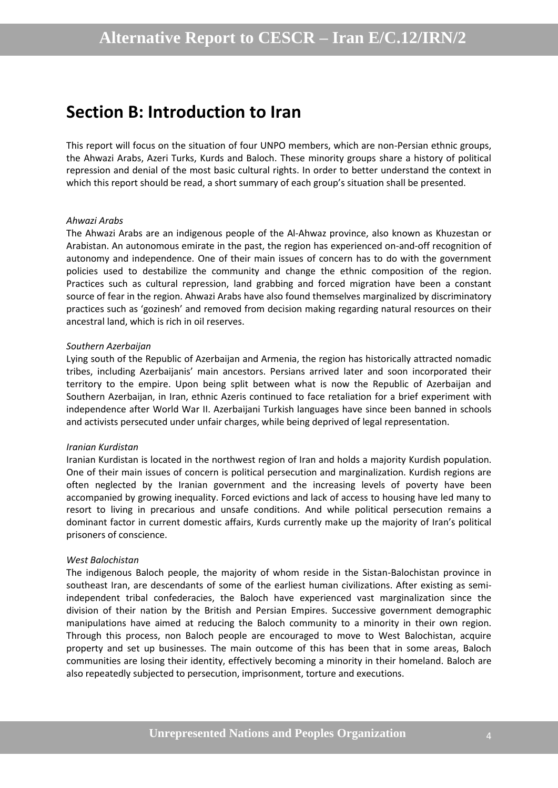### <span id="page-3-0"></span>**Section B: Introduction to Iran**

This report will focus on the situation of four UNPO members, which are non-Persian ethnic groups, the Ahwazi Arabs, Azeri Turks, Kurds and Baloch. These minority groups share a history of political repression and denial of the most basic cultural rights. In order to better understand the context in which this report should be read, a short summary of each group's situation shall be presented.

#### *Ahwazi Arabs*

The Ahwazi Arabs are an indigenous people of the Al-Ahwaz province, also known as Khuzestan or Arabistan. An autonomous emirate in the past, the region has experienced on-and-off recognition of autonomy and independence. One of their main issues of concern has to do with the government policies used to destabilize the community and change the ethnic composition of the region. Practices such as cultural repression, land grabbing and forced migration have been a constant source of fear in the region. Ahwazi Arabs have also found themselves marginalized by discriminatory practices such as 'gozinesh' and removed from decision making regarding natural resources on their ancestral land, which is rich in oil reserves.

#### *Southern Azerbaijan*

Lying south of the Republic of Azerbaijan and Armenia, the region has historically attracted nomadic tribes, including Azerbaijanis' main ancestors. Persians arrived later and soon incorporated their territory to the empire. Upon being split between what is now the Republic of Azerbaijan and Southern Azerbaijan, in Iran, ethnic Azeris continued to face retaliation for a brief experiment with independence after World War II. Azerbaijani Turkish languages have since been banned in schools and activists persecuted under unfair charges, while being deprived of legal representation.

#### *Iranian Kurdistan*

Iranian Kurdistan is located in the northwest region of Iran and holds a majority Kurdish population. One of their main issues of concern is political persecution and marginalization. Kurdish regions are often neglected by the Iranian government and the increasing levels of poverty have been accompanied by growing inequality. Forced evictions and lack of access to housing have led many to resort to living in precarious and unsafe conditions. And while political persecution remains a dominant factor in current domestic affairs, Kurds currently make up the majority of Iran's political prisoners of conscience.

#### *West Balochistan*

The indigenous Baloch people, the majority of whom reside in the Sistan-Balochistan province in southeast Iran, are descendants of some of the earliest human civilizations. After existing as semiindependent tribal confederacies, the Baloch have experienced vast marginalization since the division of their nation by the British and Persian Empires. Successive government demographic manipulations have aimed at reducing the Baloch community to a minority in their own region. Through this process, non Baloch people are encouraged to move to West Balochistan, acquire property and set up businesses. The main outcome of this has been that in some areas, Baloch communities are losing their identity, effectively becoming a minority in their homeland. Baloch are also repeatedly subjected to persecution, imprisonment, torture and executions.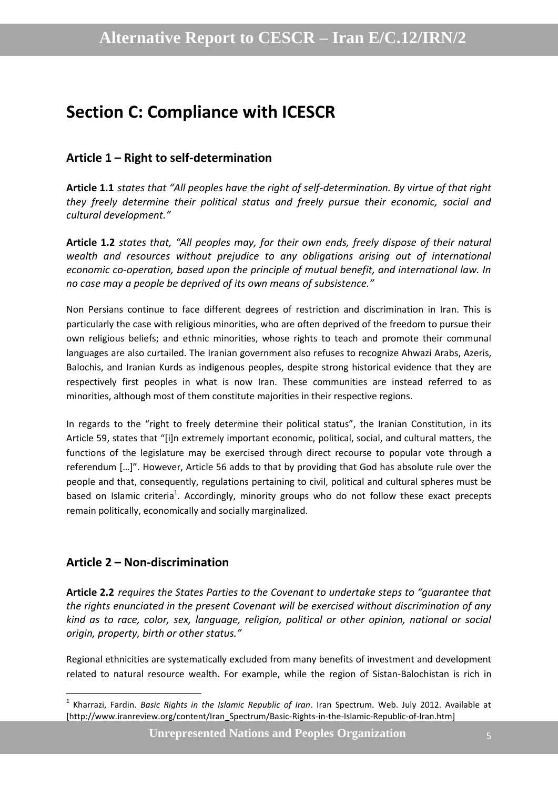## <span id="page-4-0"></span>**Section C: Compliance with ICESCR**

#### <span id="page-4-1"></span>**Article 1 – Right to self-determination**

**Article 1.1** *states that "All peoples have the right of self-determination. By virtue of that right they freely determine their political status and freely pursue their economic, social and cultural development."*

**Article 1.2** *states that, "All peoples may, for their own ends, freely dispose of their natural wealth and resources without prejudice to any obligations arising out of international economic co-operation, based upon the principle of mutual benefit, and international law. In no case may a people be deprived of its own means of subsistence."*

Non Persians continue to face different degrees of restriction and discrimination in Iran. This is particularly the case with religious minorities, who are often deprived of the freedom to pursue their own religious beliefs; and ethnic minorities, whose rights to teach and promote their communal languages are also curtailed. The Iranian government also refuses to recognize Ahwazi Arabs, Azeris, Balochis, and Iranian Kurds as indigenous peoples, despite strong historical evidence that they are respectively first peoples in what is now Iran. These communities are instead referred to as minorities, although most of them constitute majorities in their respective regions.

In regards to the "right to freely determine their political status", the Iranian Constitution, in its Article 59, states that "[i]n extremely important economic, political, social, and cultural matters, the functions of the legislature may be exercised through direct recourse to popular vote through a referendum […]". However, Article 56 adds to that by providing that God has absolute rule over the people and that, consequently, regulations pertaining to civil, political and cultural spheres must be based on Islamic criteria<sup>1</sup>. Accordingly, minority groups who do not follow these exact precepts remain politically, economically and socially marginalized.

### <span id="page-4-2"></span>**Article 2 – Non-discrimination**

1

**Article 2.2** *requires the States Parties to the Covenant to undertake steps to "guarantee that the rights enunciated in the present Covenant will be exercised without discrimination of any kind as to race, color, sex, language, religion, political or other opinion, national or social origin, property, birth or other status."*

Regional ethnicities are systematically excluded from many benefits of investment and development related to natural resource wealth. For example, while the region of Sistan-Balochistan is rich in

<sup>1</sup> Kharrazi, Fardin. *Basic Rights in the Islamic Republic of Iran*. Iran Spectrum. Web. July 2012. Available at [http://www.iranreview.org/content/Iran\_Spectrum/Basic-Rights-in-the-Islamic-Republic-of-Iran.htm]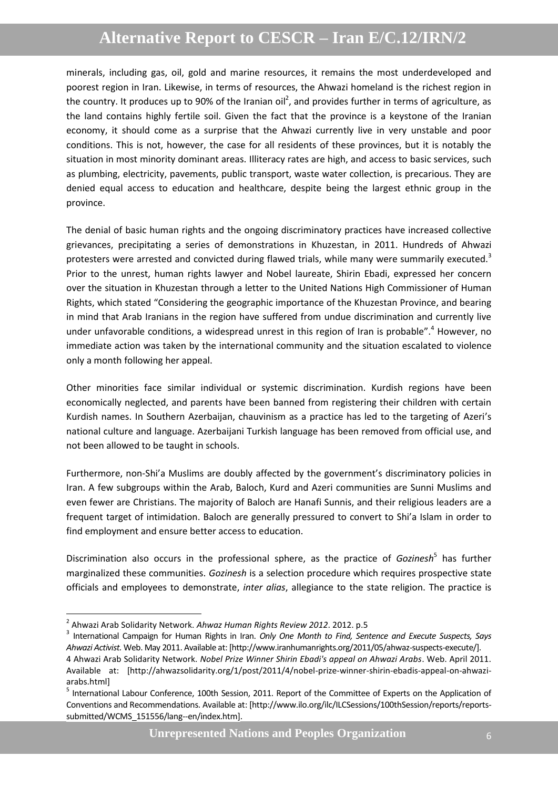minerals, including gas, oil, gold and marine resources, it remains the most underdeveloped and poorest region in Iran. Likewise, in terms of resources, the Ahwazi homeland is the richest region in the country. It produces up to 90% of the Iranian oil<sup>2</sup>, and provides further in terms of agriculture, as the land contains highly fertile soil. Given the fact that the province is a keystone of the Iranian economy, it should come as a surprise that the Ahwazi currently live in very unstable and poor conditions. This is not, however, the case for all residents of these provinces, but it is notably the situation in most minority dominant areas. Illiteracy rates are high, and access to basic services, such as plumbing, electricity, pavements, public transport, waste water collection, is precarious. They are denied equal access to education and healthcare, despite being the largest ethnic group in the province.

The denial of basic human rights and the ongoing discriminatory practices have increased collective grievances, precipitating a series of demonstrations in Khuzestan, in 2011. Hundreds of Ahwazi protesters were arrested and convicted during flawed trials, while many were summarily executed.<sup>3</sup> Prior to the unrest, human rights lawyer and Nobel laureate, Shirin Ebadi, expressed her concern over the situation in Khuzestan through a letter to the United Nations High Commissioner of Human Rights, which stated "Considering the geographic importance of the Khuzestan Province, and bearing in mind that Arab Iranians in the region have suffered from undue discrimination and currently live under unfavorable conditions, a widespread unrest in this region of Iran is probable".<sup>4</sup> However, no immediate action was taken by the international community and the situation escalated to violence only a month following her appeal.

Other minorities face similar individual or systemic discrimination. Kurdish regions have been economically neglected, and parents have been banned from registering their children with certain Kurdish names. In Southern Azerbaijan, chauvinism as a practice has led to the targeting of Azeri's national culture and language. Azerbaijani Turkish language has been removed from official use, and not been allowed to be taught in schools.

Furthermore, non-Shi'a Muslims are doubly affected by the government's discriminatory policies in Iran. A few subgroups within the Arab, Baloch, Kurd and Azeri communities are Sunni Muslims and even fewer are Christians. The majority of Baloch are Hanafi Sunnis, and their religious leaders are a frequent target of intimidation. Baloch are generally pressured to convert to Shi'a Islam in order to find employment and ensure better access to education.

Discrimination also occurs in the professional sphere, as the practice of *Gozinesh*<sup>5</sup> has further marginalized these communities. *Gozinesh* is a selection procedure which requires prospective state officials and employees to demonstrate, *inter alias*, allegiance to the state religion. The practice is

1

<sup>2</sup> Ahwazi Arab Solidarity Network. *Ahwaz Human Rights Review 2012*. 2012. p.5

<sup>3</sup> International Campaign for Human Rights in Iran. *Only One Month to Find, Sentence and Execute Suspects, Says Ahwazi Activist.* Web. May 2011. Available at: [http://www.iranhumanrights.org/2011/05/ahwaz-suspects-execute/].

<sup>4</sup> Ahwazi Arab Solidarity Network. *Nobel Prize Winner Shirin Ebadi's appeal on Ahwazi Arabs*. Web. April 2011. Available at: [http://ahwazsolidarity.org/1/post/2011/4/nobel-prize-winner-shirin-ebadis-appeal-on-ahwaziarabs.html]

<sup>&</sup>lt;sup>5</sup> International Labour Conference, 100th Session, 2011. Report of the Committee of Experts on the Application of Conventions and Recommendations. Available at: [http://www.ilo.org/ilc/ILCSessions/100thSession/reports/reportssubmitted/WCMS\_151556/lang--en/index.htm].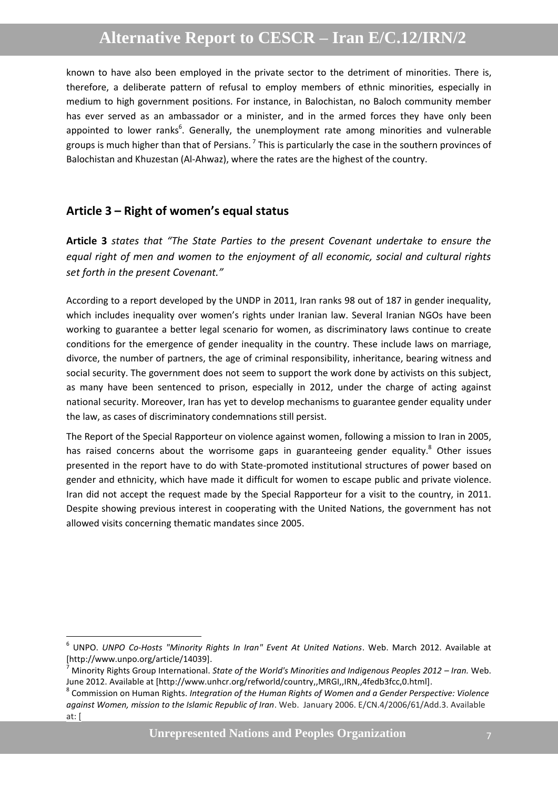known to have also been employed in the private sector to the detriment of minorities. There is, therefore, a deliberate pattern of refusal to employ members of ethnic minorities, especially in medium to high government positions. For instance, in Balochistan, no Baloch community member has ever served as an ambassador or a minister, and in the armed forces they have only been appointed to lower ranks<sup>6</sup>. Generally, the unemployment rate among minorities and vulnerable groups is much higher than that of Persians.<sup>7</sup> This is particularly the case in the southern provinces of Balochistan and Khuzestan (Al-Ahwaz), where the rates are the highest of the country.

#### <span id="page-6-0"></span>**Article 3 – Right of women's equal status**

1

**Article 3** *states that "The State Parties to the present Covenant undertake to ensure the equal right of men and women to the enjoyment of all economic, social and cultural rights set forth in the present Covenant."*

According to a report developed by the UNDP in 2011, Iran ranks 98 out of 187 in gender inequality, which includes inequality over women's rights under Iranian law. Several Iranian NGOs have been working to guarantee a better legal scenario for women, as discriminatory laws continue to create conditions for the emergence of gender inequality in the country. These include laws on marriage, divorce, the number of partners, the age of criminal responsibility, inheritance, bearing witness and social security. The government does not seem to support the work done by activists on this subject, as many have been sentenced to prison, especially in 2012, under the charge of acting against national security. Moreover, Iran has yet to develop mechanisms to guarantee gender equality under the law, as cases of discriminatory condemnations still persist.

The Report of the Special Rapporteur on violence against women, following a mission to Iran in 2005, has raised concerns about the worrisome gaps in guaranteeing gender equality. $8$  Other issues presented in the report have to do with State-promoted institutional structures of power based on gender and ethnicity, which have made it difficult for women to escape public and private violence. Iran did not accept the request made by the Special Rapporteur for a visit to the country, in 2011. Despite showing previous interest in cooperating with the United Nations, the government has not allowed visits concerning thematic mandates since 2005.

<sup>6</sup> UNPO. *UNPO Co-Hosts "Minority Rights In Iran" Event At United Nations*. Web. March 2012. Available at [http://www.unpo.org/article/14039].

<sup>7</sup> Minority Rights Group International. *State of the World's Minorities and Indigenous Peoples 2012 – Iran.* Web. June 2012. Available at [http://www.unhcr.org/refworld/country,,MRGI,,IRN,,4fedb3fcc,0.html].

<sup>8</sup> Commission on Human Rights. *Integration of the Human Rights of Women and a Gender Perspective: Violence against Women, mission to the Islamic Republic of Iran*. Web. January 2006. E/CN.4/2006/61/Add.3. Available at: [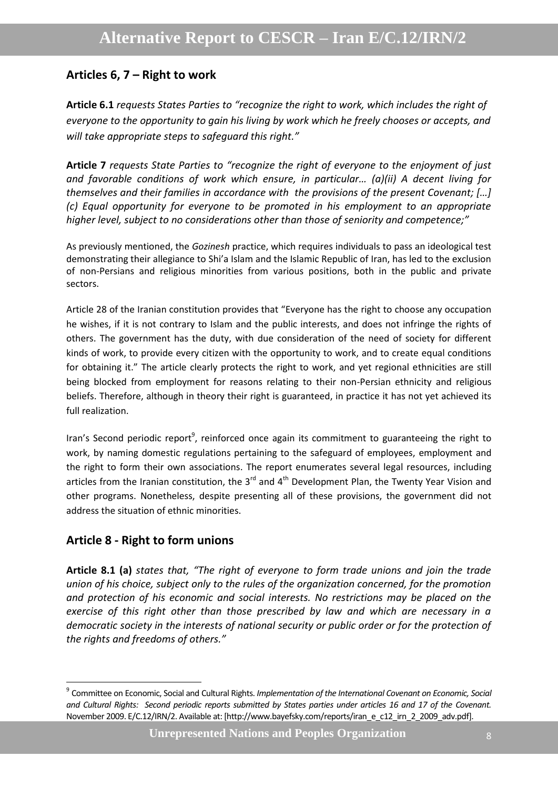### <span id="page-7-0"></span>**Articles 6, 7 – Right to work**

**Article 6.1** *requests States Parties to "recognize the right to work, which includes the right of everyone to the opportunity to gain his living by work which he freely chooses or accepts, and will take appropriate steps to safeguard this right."*

**Article 7** *requests State Parties to "recognize the right of everyone to the enjoyment of just and favorable conditions of work which ensure, in particular… (a)(ii) A decent living for themselves and their families in accordance with the provisions of the present Covenant; […] (c) Equal opportunity for everyone to be promoted in his employment to an appropriate higher level, subject to no considerations other than those of seniority and competence;"*

As previously mentioned, the *Gozinesh* practice, which requires individuals to pass an ideological test demonstrating their allegiance to Shi'a Islam and the Islamic Republic of Iran, has led to the exclusion of non-Persians and religious minorities from various positions, both in the public and private sectors.

Article 28 of the Iranian constitution provides that "Everyone has the right to choose any occupation he wishes, if it is not contrary to Islam and the public interests, and does not infringe the rights of others. The government has the duty, with due consideration of the need of society for different kinds of work, to provide every citizen with the opportunity to work, and to create equal conditions for obtaining it." The article clearly protects the right to work, and yet regional ethnicities are still being blocked from employment for reasons relating to their non-Persian ethnicity and religious beliefs. Therefore, although in theory their right is guaranteed, in practice it has not yet achieved its full realization.

Iran's Second periodic report<sup>9</sup>, reinforced once again its commitment to guaranteeing the right to work, by naming domestic regulations pertaining to the safeguard of employees, employment and the right to form their own associations. The report enumerates several legal resources, including articles from the Iranian constitution, the 3<sup>rd</sup> and 4<sup>th</sup> Development Plan, the Twenty Year Vision and other programs. Nonetheless, despite presenting all of these provisions, the government did not address the situation of ethnic minorities.

### <span id="page-7-1"></span>**Article 8 - Right to form unions**

**.** 

**Article 8.1 (a)** *states that, "The right of everyone to form trade unions and join the trade union of his choice, subject only to the rules of the organization concerned, for the promotion and protection of his economic and social interests. No restrictions may be placed on the exercise of this right other than those prescribed by law and which are necessary in a democratic society in the interests of national security or public order or for the protection of the rights and freedoms of others."*

<sup>9</sup> Committee on Economic, Social and Cultural Rights. *Implementation of the International Covenant on Economic, Social and Cultural Rights: Second periodic reports submitted by States parties under articles 16 and 17 of the Covenant.* November 2009. E/C.12/IRN/2. Available at: [http://www.bayefsky.com/reports/iran\_e\_c12\_irn\_2\_2009\_adv.pdf].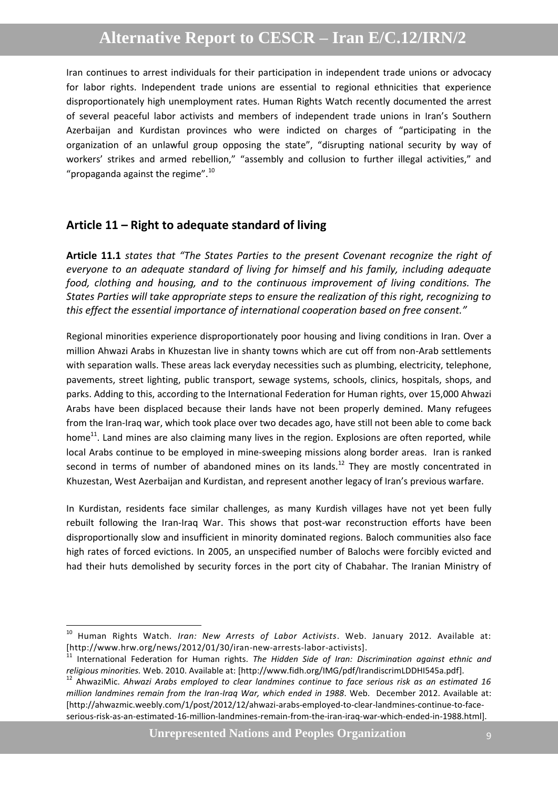Iran continues to arrest individuals for their participation in independent trade unions or advocacy for labor rights. Independent trade unions are essential to regional ethnicities that experience disproportionately high unemployment rates. Human Rights Watch recently documented the arrest of several peaceful labor activists and members of independent trade unions in Iran's Southern Azerbaijan and Kurdistan provinces who were indicted on charges of "participating in the organization of an unlawful group opposing the state", "disrupting national security by way of workers' strikes and armed rebellion," "assembly and collusion to further illegal activities," and "propaganda against the regime". $^{10}$ 

#### <span id="page-8-0"></span>**Article 11 – Right to adequate standard of living**

**.** 

**Article 11.1** *states that "The States Parties to the present Covenant recognize the right of everyone to an adequate standard of living for himself and his family, including adequate food, clothing and housing, and to the continuous improvement of living conditions. The States Parties will take appropriate steps to ensure the realization of this right, recognizing to this effect the essential importance of international cooperation based on free consent."*

Regional minorities experience disproportionately poor housing and living conditions in Iran. Over a million Ahwazi Arabs in Khuzestan live in shanty towns which are cut off from non-Arab settlements with separation walls. These areas lack everyday necessities such as plumbing, electricity, telephone, pavements, street lighting, public transport, sewage systems, schools, clinics, hospitals, shops, and parks. Adding to this, according to the International Federation for Human rights, over 15,000 Ahwazi Arabs have been displaced because their lands have not been properly demined. Many refugees from the Iran-Iraq war, which took place over two decades ago, have still not been able to come back home<sup>11</sup>. Land mines are also claiming many lives in the region. Explosions are often reported, while local Arabs continue to be employed in mine-sweeping missions along border areas. Iran is ranked second in terms of number of abandoned mines on its lands.<sup>12</sup> They are mostly concentrated in Khuzestan, West Azerbaijan and Kurdistan, and represent another legacy of Iran's previous warfare.

In Kurdistan, residents face similar challenges, as many Kurdish villages have not yet been fully rebuilt following the Iran-Iraq War. This shows that post-war reconstruction efforts have been disproportionally slow and insufficient in minority dominated regions. Baloch communities also face high rates of forced evictions. In 2005, an unspecified number of Balochs were forcibly evicted and had their huts demolished by security forces in the port city of Chabahar. The Iranian Ministry of

**Unrepresented Nations and Peoples Organization** 9

<sup>10</sup> Human Rights Watch. *Iran: New Arrests of Labor Activists*. Web. January 2012. Available at: [http://www.hrw.org/news/2012/01/30/iran-new-arrests-labor-activists].

<sup>&</sup>lt;sup>11</sup> International Federation for Human rights. *The Hidden Side of Iran: Discrimination against ethnic and religious minorities.* Web. 2010. Available at: [http://www.fidh.org/IMG/pdf/IrandiscrimLDDHI545a.pdf].

<sup>12</sup> AhwaziMic. *Ahwazi [Arabs employed to clear landmines continue to face serious risk as an estimated 16](http://ahwazmic.weebly.com/1/post/2012/12/ahwazi-arabs-employed-to-clear-landmines-continue-to-face-serious-risk-as-an-estimated-16-million-landmines-remain-from-the-iran-iraq-war-which-ended-in-1988.html)  [million landmines remain from the Iran-Iraq War, which ended in 1988](http://ahwazmic.weebly.com/1/post/2012/12/ahwazi-arabs-employed-to-clear-landmines-continue-to-face-serious-risk-as-an-estimated-16-million-landmines-remain-from-the-iran-iraq-war-which-ended-in-1988.html)*. Web. December 2012. Available at: [http://ahwazmic.weebly.com/1/post/2012/12/ahwazi-arabs-employed-to-clear-landmines-continue-to-faceserious-risk-as-an-estimated-16-million-landmines-remain-from-the-iran-iraq-war-which-ended-in-1988.html].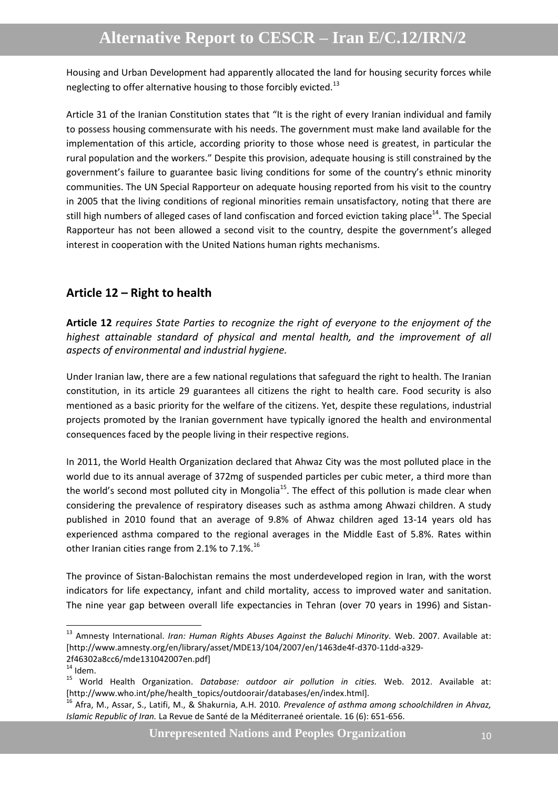Housing and Urban Development had apparently allocated the land for housing security forces while neglecting to offer alternative housing to those forcibly evicted. $^{13}$ 

Article 31 of the Iranian Constitution states that "It is the right of every Iranian individual and family to possess housing commensurate with his needs. The government must make land available for the implementation of this article, according priority to those whose need is greatest, in particular the rural population and the workers." Despite this provision, adequate housing is still constrained by the government's failure to guarantee basic living conditions for some of the country's ethnic minority communities. The UN Special Rapporteur on adequate housing reported from his visit to the country in 2005 that the living conditions of regional minorities remain unsatisfactory, noting that there are still high numbers of alleged cases of land confiscation and forced eviction taking place $^{14}$ . The Special Rapporteur has not been allowed a second visit to the country, despite the government's alleged interest in cooperation with the United Nations human rights mechanisms.

### <span id="page-9-0"></span>**Article 12 – Right to health**

**Article 12** *requires State Parties to recognize the right of everyone to the enjoyment of the highest attainable standard of physical and mental health, and the improvement of all aspects of environmental and industrial hygiene.*

Under Iranian law, there are a few national regulations that safeguard the right to health. The Iranian constitution, in its article 29 guarantees all citizens the right to health care. Food security is also mentioned as a basic priority for the welfare of the citizens. Yet, despite these regulations, industrial projects promoted by the Iranian government have typically ignored the health and environmental consequences faced by the people living in their respective regions.

In 2011, the World Health Organization declared that Ahwaz City was the most polluted place in the world due to its annual average of 372mg of suspended particles per cubic meter, a third more than the world's second most polluted city in Mongolia<sup>15</sup>. The effect of this pollution is made clear when considering the prevalence of respiratory diseases such as asthma among Ahwazi children. A study published in 2010 found that an average of 9.8% of Ahwaz children aged 13-14 years old has experienced asthma compared to the regional averages in the Middle East of 5.8%. Rates within other Iranian cities range from 2.1% to 7.1%.<sup>16</sup>

The province of Sistan-Balochistan remains the most underdeveloped region in Iran, with the worst indicators for life expectancy, infant and child mortality, access to improved water and sanitation. The nine year gap between overall life expectancies in Tehran (over 70 years in 1996) and Sistan-

**.** 

<sup>13</sup> Amnesty International. *Iran: Human Rights Abuses Against the Baluchi Minority.* Web. 2007. Available at: [http://www.amnesty.org/en/library/asset/MDE13/104/2007/en/1463de4f-d370-11dd-a329- 2f46302a8cc6/mde131042007en.pdf]

 $14$  Idem.

<sup>15</sup> World Health Organization. *Database: outdoor air pollution in cities.* Web. 2012. Available at: [http://www.who.int/phe/health\_topics/outdoorair/databases/en/index.html].

<sup>16</sup> Afra, M., Assar, S., Latifi, M., & Shakurnia, A.H. 2010. *Prevalence of asthma among schoolchildren in Ahvaz, Islamic Republic of Iran.* La Revue de Santé de la Méditerraneé orientale. 16 (6): 651-656.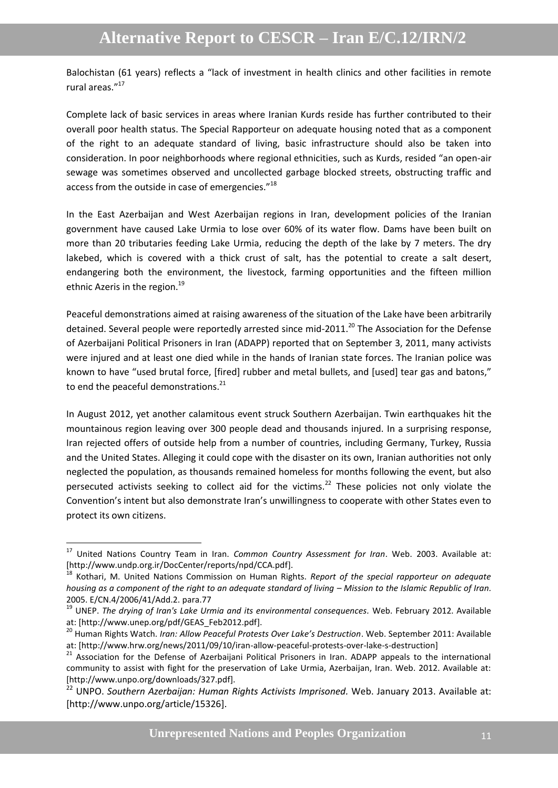Balochistan (61 years) reflects a "lack of investment in health clinics and other facilities in remote rural areas."<sup>17</sup>

Complete lack of basic services in areas where Iranian Kurds reside has further contributed to their overall poor health status. The Special Rapporteur on adequate housing noted that as a component of the right to an adequate standard of living, basic infrastructure should also be taken into consideration. In poor neighborhoods where regional ethnicities, such as Kurds, resided "an open-air sewage was sometimes observed and uncollected garbage blocked streets, obstructing traffic and access from the outside in case of emergencies."<sup>18</sup>

In the East Azerbaijan and West Azerbaijan regions in Iran, development policies of the Iranian government have caused Lake Urmia to lose over 60% of its water flow. Dams have been built on more than 20 tributaries feeding Lake Urmia, reducing the depth of the lake by 7 meters. The dry lakebed, which is covered with a thick crust of salt, has the potential to create a salt desert, endangering both the environment, the livestock, farming opportunities and the fifteen million ethnic Azeris in the region.<sup>19</sup>

Peaceful demonstrations aimed at raising awareness of the situation of the Lake have been arbitrarily detained. Several people were reportedly arrested since mid-2011.<sup>20</sup> The Association for the Defense of Azerbaijani Political Prisoners in Iran (ADAPP) reported that on September 3, 2011, many activists were injured and at least one died while in the hands of Iranian state forces. The Iranian police was known to have "used brutal force, [fired] rubber and metal bullets, and [used] tear gas and batons," to end the peaceful demonstrations.<sup>21</sup>

In August 2012, yet another calamitous event struck Southern Azerbaijan. Twin earthquakes hit the mountainous region leaving over 300 people dead and thousands injured. In a surprising response, Iran rejected offers of outside help from a number of countries, including Germany, Turkey, Russia and the United States. Alleging it could cope with the disaster on its own, Iranian authorities not only neglected the population, as thousands remained homeless for months following the event, but also persecuted activists seeking to collect aid for the victims.<sup>22</sup> These policies not only violate the Convention's intent but also demonstrate Iran's unwillingness to cooperate with other States even to protect its own citizens.

1

<sup>17</sup> United Nations Country Team in Iran. *Common Country Assessment for Iran*. Web. 2003. Available at: [http://www.undp.org.ir/DocCenter/reports/npd/CCA.pdf].

<sup>18</sup> Kothari, M. United Nations Commission on Human Rights. *Report of the special rapporteur on adequate housing as a component of the right to an adequate standard of living – Mission to the Islamic Republic of Iran.* 2005. E/CN.4/2006/41/Add.2. para.77

<sup>19</sup> UNEP. *The drying of Iran's Lake Urmia and its environmental consequences.* Web. February 2012. Available at: [http://www.unep.org/pdf/GEAS\_Feb2012.pdf].

<sup>20</sup> Human Rights Watch. *Iran: Allow Peaceful Protests Over Lake's Destruction*. Web. September 2011: Available at: [http://www.hrw.org/news/2011/09/10/iran-allow-peaceful-protests-over-lake-s-destruction]

<sup>&</sup>lt;sup>21</sup> Association for the Defense of Azerbaijani Political Prisoners in Iran. ADAPP appeals to the international community to assist with fight for the preservation of Lake Urmia, Azerbaijan, Iran. Web. 2012. Available at: [http://www.unpo.org/downloads/327.pdf].

<sup>22</sup> UNPO. *Southern Azerbaijan: Human Rights Activists Imprisoned.* Web. January 2013. Available at: [http://www.unpo.org/article/15326].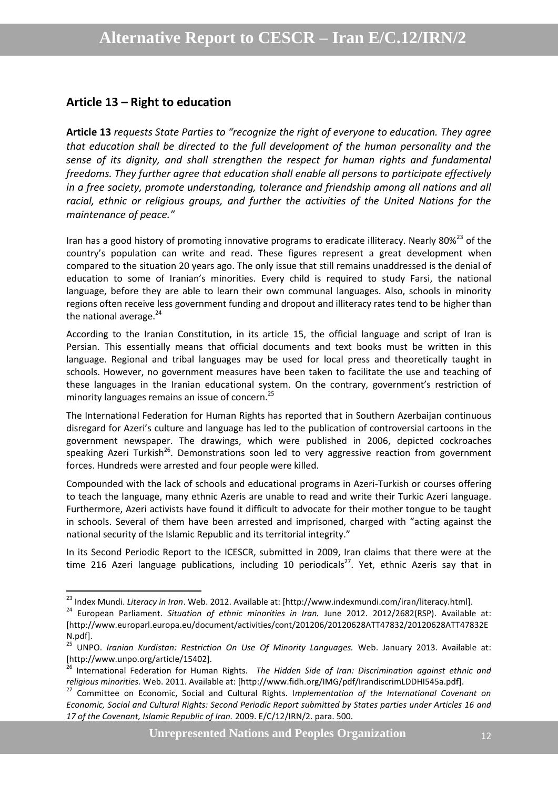#### <span id="page-11-0"></span>**Article 13 – Right to education**

1

**Article 13** *requests State Parties to "recognize the right of everyone to education. They agree that education shall be directed to the full development of the human personality and the sense of its dignity, and shall strengthen the respect for human rights and fundamental freedoms. They further agree that education shall enable all persons to participate effectively in a free society, promote understanding, tolerance and friendship among all nations and all racial, ethnic or religious groups, and further the activities of the United Nations for the maintenance of peace."*

Iran has a good history of promoting innovative programs to eradicate illiteracy. Nearly 80%<sup>23</sup> of the country's population can write and read. These figures represent a great development when compared to the situation 20 years ago. The only issue that still remains unaddressed is the denial of education to some of Iranian's minorities. Every child is required to study Farsi, the national language, before they are able to learn their own communal languages. Also, schools in minority regions often receive less government funding and dropout and illiteracy rates tend to be higher than the national average.<sup>24</sup>

According to the Iranian Constitution, in its article 15, the official language and script of Iran is Persian. This essentially means that official documents and text books must be written in this language. Regional and tribal languages may be used for local press and theoretically taught in schools. However, no government measures have been taken to facilitate the use and teaching of these languages in the Iranian educational system. On the contrary, government's restriction of minority languages remains an issue of concern. 25

The International Federation for Human Rights has reported that in Southern Azerbaijan continuous disregard for Azeri's culture and language has led to the publication of controversial cartoons in the government newspaper. The drawings, which were published in 2006, depicted cockroaches speaking Azeri Turkish<sup>26</sup>. Demonstrations soon led to very aggressive reaction from government forces. Hundreds were arrested and four people were killed.

Compounded with the lack of schools and educational programs in Azeri-Turkish or courses offering to teach the language, many ethnic Azeris are unable to read and write their Turkic Azeri language. Furthermore, Azeri activists have found it difficult to advocate for their mother tongue to be taught in schools. Several of them have been arrested and imprisoned, charged with "acting against the national security of the Islamic Republic and its territorial integrity."

In its Second Periodic Report to the ICESCR, submitted in 2009, Iran claims that there were at the time 216 Azeri language publications, including 10 periodicals<sup>27</sup>. Yet, ethnic Azeris say that in

<sup>23</sup> Index Mundi. *Literacy in Iran*. Web. 2012. Available at: [http://www.indexmundi.com/iran/literacy.html].

<sup>&</sup>lt;sup>24</sup> European Parliament. Situation of ethnic minorities in Iran. June 2012. 2012/2682(RSP). Available at: [http://www.europarl.europa.eu/document/activities/cont/201206/20120628ATT47832/20120628ATT47832E N.pdf].

<sup>25</sup> UNPO. *Iranian Kurdistan: Restriction On Use Of Minority Languages.* Web. January 2013. Available at: [http://www.unpo.org/article/15402].

<sup>26</sup> International Federation for Human Rights. *The Hidden Side of Iran: Discrimination against ethnic and religious minorities.* Web. 2011. Available at: [http://www.fidh.org/IMG/pdf/IrandiscrimLDDHI545a.pdf].

<sup>27</sup> Committee on Economic, Social and Cultural Rights. I*mplementation of the International Covenant on Economic, Social and Cultural Rights: Second Periodic Report submitted by States parties under Articles 16 and 17 of the Covenant, Islamic Republic of Iran.* 2009. E/C/12/IRN/2. para. 500.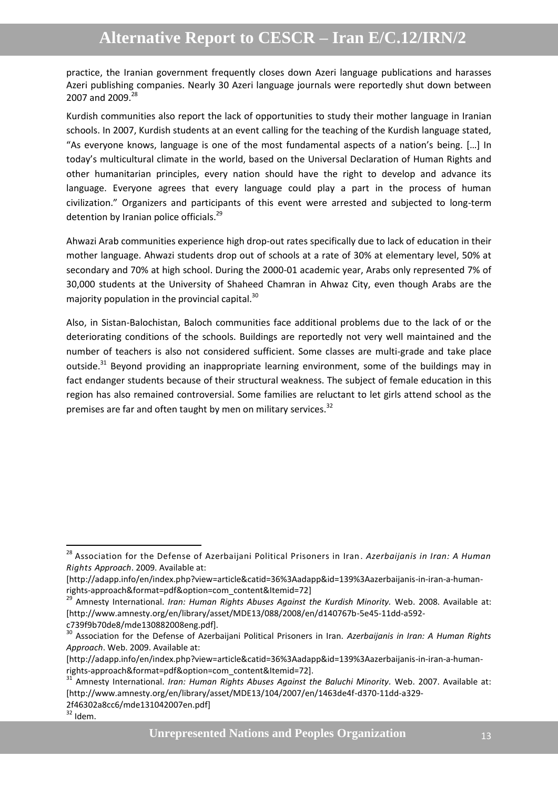practice, the Iranian government frequently closes down Azeri language publications and harasses Azeri publishing companies. Nearly 30 Azeri language journals were reportedly shut down between 2007 and 2009.<sup>28</sup>

Kurdish communities also report the lack of opportunities to study their mother language in Iranian schools. In 2007, Kurdish students at an event calling for the teaching of the Kurdish language stated, "As everyone knows, language is one of the most fundamental aspects of a nation's being. […] In today's multicultural climate in the world, based on the Universal Declaration of Human Rights and other humanitarian principles, every nation should have the right to develop and advance its language. Everyone agrees that every language could play a part in the process of human civilization." Organizers and participants of this event were arrested and subjected to long-term detention by Iranian police officials.<sup>29</sup>

Ahwazi Arab communities experience high drop-out rates specifically due to lack of education in their mother language. Ahwazi students drop out of schools at a rate of 30% at elementary level, 50% at secondary and 70% at high school. During the 2000-01 academic year, Arabs only represented 7% of 30,000 students at the University of Shaheed Chamran in Ahwaz City, even though Arabs are the majority population in the provincial capital. $30$ 

Also, in Sistan-Balochistan, Baloch communities face additional problems due to the lack of or the deteriorating conditions of the schools. Buildings are reportedly not very well maintained and the number of teachers is also not considered sufficient. Some classes are multi-grade and take place outside.<sup>31</sup> Beyond providing an inappropriate learning environment, some of the buildings may in fact endanger students because of their structural weakness. The subject of female education in this region has also remained controversial. Some families are reluctant to let girls attend school as the premises are far and often taught by men on military services.<sup>32</sup>

**.** 

<sup>28</sup> Association for the Defense of Azerbaijani Political Prisoners in Iran. *Azerbaijanis in Iran: A Human Rights Approach*. 2009. Available at:

<sup>[</sup>http://adapp.info/en/index.php?view=article&catid=36%3Aadapp&id=139%3Aazerbaijanis-in-iran-a-humanrights-approach&format=pdf&option=com\_content&Itemid=72]

<sup>29</sup> Amnesty International. *Iran: Human Rights Abuses Against the Kurdish Minority.* Web. 2008. Available at: [http://www.amnesty.org/en/library/asset/MDE13/088/2008/en/d140767b-5e45-11dd-a592 c739f9b70de8/mde130882008eng.pdf].

<sup>30</sup> Association for the Defense of Azerbaijani Political Prisoners in Iran. *Azerbaijanis in Iran: A Human Rights Approach*. Web. 2009. Available at:

<sup>[</sup>http://adapp.info/en/index.php?view=article&catid=36%3Aadapp&id=139%3Aazerbaijanis-in-iran-a-humanrights-approach&format=pdf&option=com\_content&Itemid=72].

<sup>31</sup> Amnesty International. *Iran: Human Rights Abuses Against the Baluchi Minority.* Web. 2007. Available at: [http://www.amnesty.org/en/library/asset/MDE13/104/2007/en/1463de4f-d370-11dd-a329- 2f46302a8cc6/mde131042007en.pdf]

 $32$  Idem.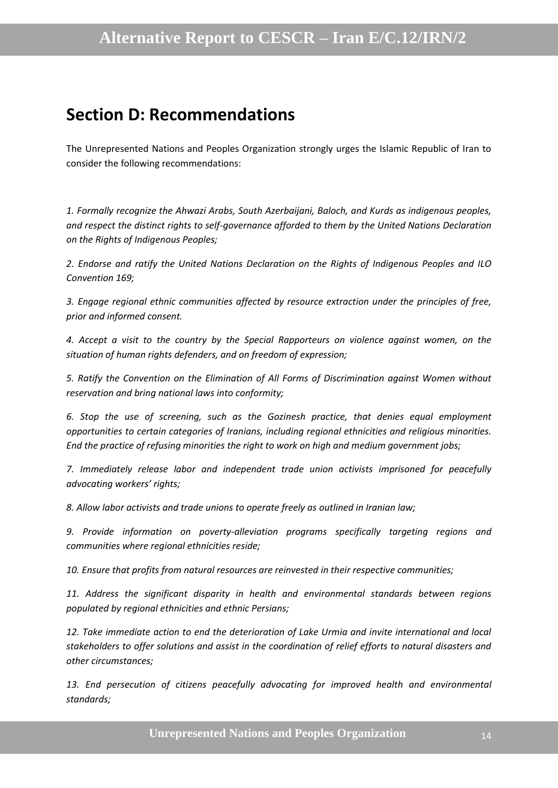### <span id="page-13-0"></span>**Section D: Recommendations**

The Unrepresented Nations and Peoples Organization strongly urges the Islamic Republic of Iran to consider the following recommendations:

*1. Formally recognize the Ahwazi Arabs, South Azerbaijani, Baloch, and Kurds as indigenous peoples, and respect the distinct rights to self-governance afforded to them by the United Nations Declaration on the Rights of Indigenous Peoples;*

*2. Endorse and ratify the United Nations Declaration on the Rights of Indigenous Peoples and ILO Convention 169;*

*3. Engage regional ethnic communities affected by resource extraction under the principles of free, prior and informed consent.*

*4. Accept a visit to the country by the Special Rapporteurs on violence against women, on the situation of human rights defenders, and on freedom of expression;*

*5. Ratify the Convention on the Elimination of All Forms of Discrimination against Women without reservation and bring national laws into conformity;*

*6. Stop the use of screening, such as the Gozinesh practice, that denies equal employment opportunities to certain categories of Iranians, including regional ethnicities and religious minorities. End the practice of refusing minorities the right to work on high and medium government jobs;*

*7. Immediately release labor and independent trade union activists imprisoned for peacefully advocating workers' rights;*

*8. Allow labor activists and trade unions to operate freely as outlined in Iranian law;*

*9. Provide information on poverty-alleviation programs specifically targeting regions and communities where regional ethnicities reside;*

*10. Ensure that profits from natural resources are reinvested in their respective communities;*

*11. Address the significant disparity in health and environmental standards between regions populated by regional ethnicities and ethnic Persians;*

*12. Take immediate action to end the deterioration of Lake Urmia and invite international and local stakeholders to offer solutions and assist in the coordination of relief efforts to natural disasters and other circumstances;*

13. End persecution of citizens peacefully advocating for improved health and environmental *standards;*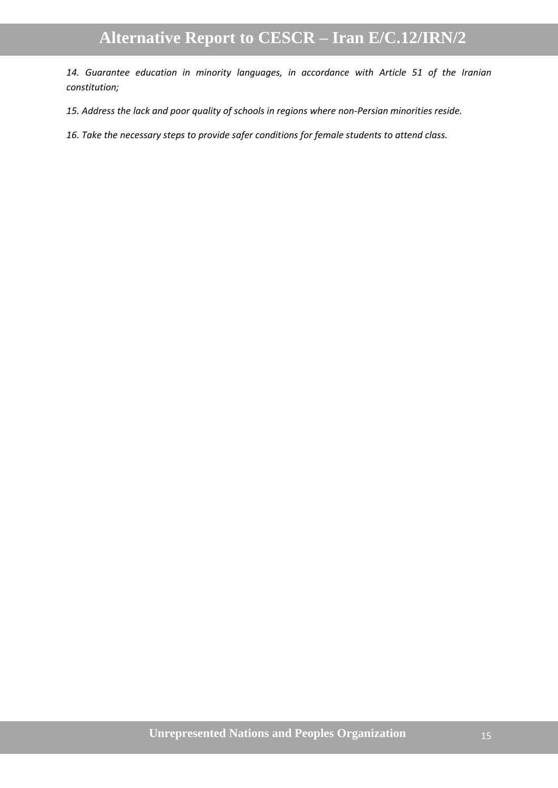*14. Guarantee education in minority languages, in accordance with Article 51 of the Iranian constitution;*

*15. Address the lack and poor quality of schools in regions where non-Persian minorities reside.*

*16. Take the necessary steps to provide safer conditions for female students to attend class.*